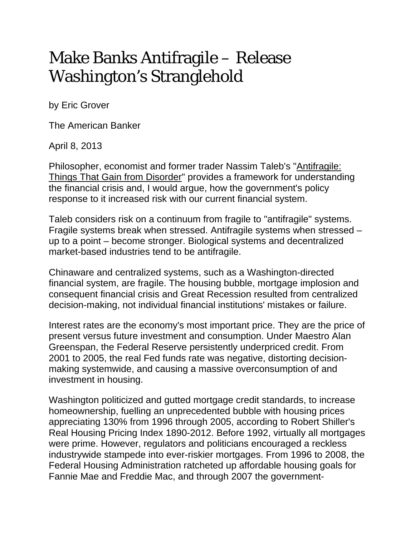## Make Banks Antifragile – Release Washington's Stranglehold

by Eric Grover

The American Banker

April 8, 2013

Philosopher, economist and former trader Nassim Taleb's "Antifragile: Things That Gain from Disorder" provides a framework for understanding the financial crisis and, I would argue, how the government's policy response to it increased risk with our current financial system.

Taleb considers risk on a continuum from fragile to "antifragile" systems. Fragile systems break when stressed. Antifragile systems when stressed – up to a point – become stronger. Biological systems and decentralized market-based industries tend to be antifragile.

Chinaware and centralized systems, such as a Washington-directed financial system, are fragile. The housing bubble, mortgage implosion and consequent financial crisis and Great Recession resulted from centralized decision-making, not individual financial institutions' mistakes or failure.

Interest rates are the economy's most important price. They are the price of present versus future investment and consumption. Under Maestro Alan Greenspan, the Federal Reserve persistently underpriced credit. From 2001 to 2005, the real Fed funds rate was negative, distorting decisionmaking systemwide, and causing a massive overconsumption of and investment in housing.

Washington politicized and gutted mortgage credit standards, to increase homeownership, fuelling an unprecedented bubble with housing prices appreciating 130% from 1996 through 2005, according to Robert Shiller's Real Housing Pricing Index 1890-2012. Before 1992, virtually all mortgages were prime. However, regulators and politicians encouraged a reckless industrywide stampede into ever-riskier mortgages. From 1996 to 2008, the Federal Housing Administration ratcheted up affordable housing goals for Fannie Mae and Freddie Mac, and through 2007 the government-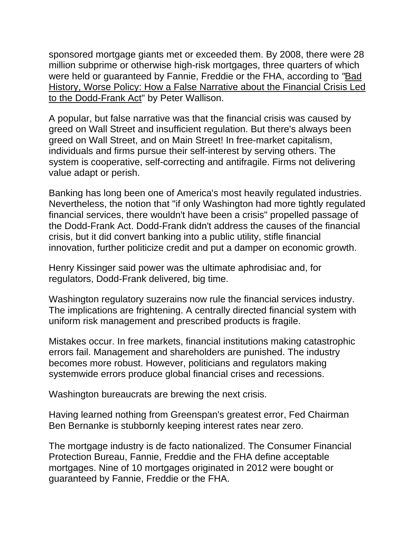sponsored mortgage giants met or exceeded them. By 2008, there were 28 million subprime or otherwise high-risk mortgages, three quarters of which were held or guaranteed by Fannie, Freddie or the FHA, according to *"*Bad History, Worse Policy: How a False Narrative about the Financial Crisis Led to the Dodd-Frank Act" by Peter Wallison.

A popular, but false narrative was that the financial crisis was caused by greed on Wall Street and insufficient regulation. But there's always been greed on Wall Street, and on Main Street! In free-market capitalism, individuals and firms pursue their self-interest by serving others. The system is cooperative, self-correcting and antifragile. Firms not delivering value adapt or perish.

Banking has long been one of America's most heavily regulated industries. Nevertheless, the notion that "if only Washington had more tightly regulated financial services, there wouldn't have been a crisis" propelled passage of the Dodd-Frank Act. Dodd-Frank didn't address the causes of the financial crisis, but it did convert banking into a public utility, stifle financial innovation, further politicize credit and put a damper on economic growth.

Henry Kissinger said power was the ultimate aphrodisiac and, for regulators, Dodd-Frank delivered, big time.

Washington regulatory suzerains now rule the financial services industry. The implications are frightening. A centrally directed financial system with uniform risk management and prescribed products is fragile.

Mistakes occur. In free markets, financial institutions making catastrophic errors fail. Management and shareholders are punished. The industry becomes more robust. However, politicians and regulators making systemwide errors produce global financial crises and recessions.

Washington bureaucrats are brewing the next crisis.

Having learned nothing from Greenspan's greatest error, Fed Chairman Ben Bernanke is stubbornly keeping interest rates near zero.

The mortgage industry is de facto nationalized. The Consumer Financial Protection Bureau, Fannie, Freddie and the FHA define acceptable mortgages. Nine of 10 mortgages originated in 2012 were bought or guaranteed by Fannie, Freddie or the FHA.